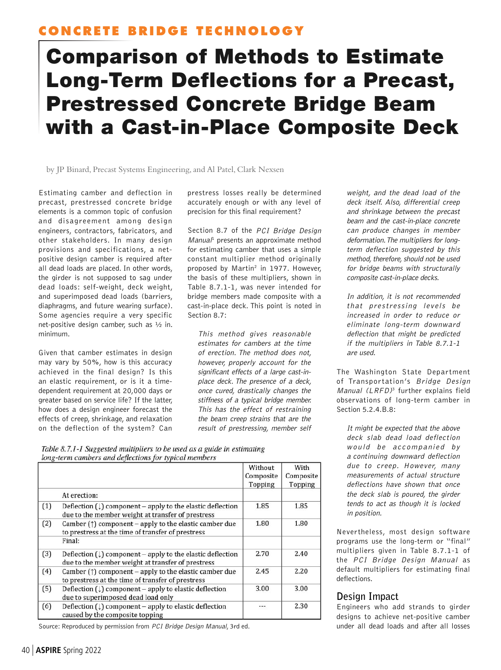# **CONCRETE BRIDGE TECHNOLOGY**

# Comparison of Methods to Estimate Long-Term Deflections for a Precast, Prestressed Concrete Bridge Beam with a Cast-in-Place Composite Deck

by JP Binard, Precast Systems Engineering, and Al Patel, Clark Nexsen

Estimating camber and deflection in precast, prestressed concrete bridge elements is a common topic of confusion and disagreement among design engineers, contractors, fabricators, and other stakeholders. In many design provisions and specifications, a netpositive design camber is required after all dead loads are placed. In other words, the girder is not supposed to sag under dead loads: self-weight, deck weight, and superimposed dead loads (barriers, diaphragms, and future wearing surface). Some agencies require a very specific net-positive design camber, such as ½ in. minimum.

Given that camber estimates in design may vary by 50%, how is this accuracy achieved in the final design? Is this an elastic requirement, or is it a timedependent requirement at 20,000 days or greater based on service life? If the latter, how does a design engineer forecast the effects of creep, shrinkage, and relaxation on the deflection of the system? Can

prestress losses really be determined accurately enough or with any level of precision for this final requirement?

Section 8.7 of the PCI Bridge Design Manual<sup>1</sup> presents an approximate method for estimating camber that uses a simple constant multiplier method originally proposed by Martin<sup>2</sup> in 1977. However, the basis of these multipliers, shown in Table 8.7.1-1, was never intended for bridge members made composite with a cast-in-place deck. This point is noted in Section 8.7:

This method gives reasonable estimates for cambers at the time of erection. The method does not, however, properly account for the significant effects of a large cast-inplace deck. The presence of a deck, once cured, drastically changes the stiffness of a typical bridge member. This has the effect of restraining the beam creep strains that are the result of prestressing, member self

Table 8.7.1-1 Suggested multipliers to be used as a guide in estimating long-term cambers and deflections for typical members

|     |                                                                                                                            | Without   | With      |
|-----|----------------------------------------------------------------------------------------------------------------------------|-----------|-----------|
|     |                                                                                                                            | Composite | Composite |
|     |                                                                                                                            | Topping   | Topping   |
|     | At erection:                                                                                                               |           |           |
| (1) | Deflection $(\downarrow)$ component – apply to the elastic deflection<br>due to the member weight at transfer of prestress | 1.85      | 1.85      |
| (2) | Camber $(\uparrow)$ component – apply to the elastic camber due<br>to prestress at the time of transfer of prestress       | 1.80      | 1.80      |
|     | Final:                                                                                                                     |           |           |
| (3) | Deflection $(\downarrow)$ component – apply to the elastic deflection<br>due to the member weight at transfer of prestress | 2.70      | 2.40      |
| (4) | Camber $(\uparrow)$ component – apply to the elastic camber due<br>to prestress at the time of transfer of prestress       | 2.45      | 2.20      |
| (5) | Deflection $(\downarrow)$ component – apply to elastic deflection<br>due to superimposed dead load only                    | 3.00      | 3.00      |
| (6) | Deflection $(\downarrow)$ component – apply to elastic deflection<br>caused by the composite topping                       |           | 2.30      |

Source: Reproduced by permission from PCI Bridge Design Manual, 3rd ed. Under all dead loads and after all losses

weight, and the dead load of the deck itself. Also, differential creep and shrinkage between the precast beam and the cast-in-place concrete can produce changes in member deformation. The multipliers for longterm deflection suggested by this method, therefore, should not be used for bridge beams with structurally composite cast-in-place decks.

In addition, it is not recommended that prestressing levels be increased in order to reduce or eliminate long-term downward deflection that might be predicted if the multipliers in Table 8.7.1-1 are used.

The Washington State Department of Transportation's Bridge Design Manual  $(LRFD)^3$  further explains field observations of long-term camber in Section 5.2.4.B.8:

It might be expected that the above deck slab dead load deflection would be accompanied by <sup>a</sup> continuing downward deflection due to creep. However, many measurements of actual structure deflections have shown that once the deck slab is poured, the girder tends to act as though it is locked in position.

Nevertheless, most design software programs use the long-term or "final" multipliers given in Table 8.7.1-1 of the PCI Bridge Design Manual as default multipliers for estimating final deflections.

### **Design Impact**

Engineers who add strands to girder designs to achieve net-positive camber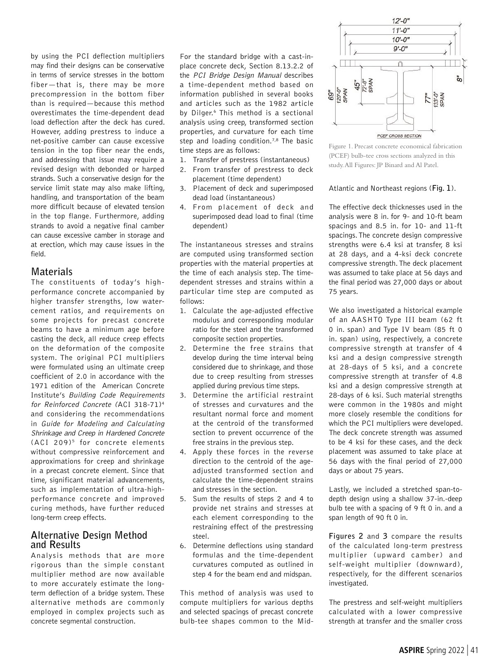by using the PCI deflection multipliers may find their designs can be conservative in terms of service stresses in the bottom fiber—that is, there may be more precompression in the bottom fiber than is required—because this method overestimates the time-dependent dead load deflection after the deck has cured. However, adding prestress to induce a net-positive camber can cause excessive tension in the top fiber near the ends, and addressing that issue may require a revised design with debonded or harped strands. Such a conservative design for the service limit state may also make lifting, handling, and transportation of the beam more difficult because of elevated tension in the top flange. Furthermore, adding strands to avoid a negative final camber can cause excessive camber in storage and at erection, which may cause issues in the field.

#### **Materials**

The constituents of today's highperformance concrete accompanied by higher transfer strengths, low watercement ratios, and requirements on some projects for precast concrete beams to have a minimum age before casting the deck, all reduce creep effects on the deformation of the composite system. The original PCI multipliers were formulated using an ultimate creep coefficient of 2.0 in accordance with the 1971 edition of the American Concrete Institute's Building Code Requirements for Reinforced Concrete (ACI 318-71)4 and considering the recommendations in Guide for Modeling and Calculating Shrinkage and Creep in Hardened Concrete (ACI 209)<sup>5</sup> for concrete elements without compressive reinforcement and approximations for creep and shrinkage in a precast concrete element. Since that time, significant material advancements, such as implementation of ultra-highperformance concrete and improved curing methods, have further reduced long-term creep effects.

#### **Alternative Design Method and Results**

Analysis methods that are more rigorous than the simple constant multiplier method are now available to more accurately estimate the longterm deflection of a bridge system. These alternative methods are commonly employed in complex projects such as concrete segmental construction.

For the standard bridge with a cast-inplace concrete deck, Section 8.13.2.2 of the PCI Bridge Design Manual describes a time-dependent method based on information published in several books and articles such as the 1982 article by Dilger.<sup>6</sup> This method is a sectional analysis using creep, transformed section properties, and curvature for each time step and loading condition.<sup>7,8</sup> The basic time steps are as follows:

- 1. Transfer of prestress (instantaneous)
- 2. From transfer of prestress to deck placement (time dependent)
- 3. Placement of deck and superimposed dead load (instantaneous)
- 4. From placement of deck and superimposed dead load to final (time dependent)

The instantaneous stresses and strains are computed using transformed section properties with the material properties at the time of each analysis step. The timedependent stresses and strains within a particular time step are computed as follows:

- 1. Calculate the age-adjusted effective modulus and corresponding modular ratio for the steel and the transformed composite section properties.
- 2. Determine the free strains that develop during the time interval being considered due to shrinkage, and those due to creep resulting from stresses applied during previous time steps.
- 3. Determine the artificial restraint of stresses and curvatures and the resultant normal force and moment at the centroid of the transformed section to prevent occurrence of the free strains in the previous step.
- 4. Apply these forces in the reverse direction to the centroid of the ageadjusted transformed section and calculate the time-dependent strains and stresses in the section.
- 5. Sum the results of steps 2 and 4 to provide net strains and stresses at each element corresponding to the restraining effect of the prestressing steel.
- 6. Determine deflections using standard formulas and the time-dependent curvatures computed as outlined in step 4 for the beam end and midspan.

This method of analysis was used to compute multipliers for various depths and selected spacings of precast concrete bulb-tee shapes common to the Mid-



Figure 1. Precast concrete economical fabrication (PCEF) bulb-tee cross sections analyzed in this study. All Figures: JP Binard and Al Patel.

Atlantic and Northeast regions (**Fig. 1**).

The effective deck thicknesses used in the analysis were 8 in. for 9- and 10-ft beam spacings and 8.5 in. for 10- and 11-ft spacings. The concrete design compressive strengths were 6.4 ksi at transfer, 8 ksi at 28 days, and a 4-ksi deck concrete compressive strength. The deck placement was assumed to take place at 56 days and the final period was 27,000 days or about 75 years.

We also investigated a historical example of an AASHTO Type III beam (62 ft 0 in. span) and Type IV beam (85 ft 0 in. span) using, respectively, a concrete compressive strength at transfer of 4 ksi and a design compressive strength at 28-days of 5 ksi, and a concrete compressive strength at transfer of 4.8 ksi and a design compressive strength at 28-days of 6 ksi. Such material strengths were common in the 1980s and might more closely resemble the conditions for which the PCI multipliers were developed. The deck concrete strength was assumed to be 4 ksi for these cases, and the deck placement was assumed to take place at 56 days with the final period of 27,000 days or about 75 years.

Lastly, we included a stretched span-todepth design using a shallow 37-in.-deep bulb tee with a spacing of 9 ft 0 in. and a span length of 90 ft 0 in.

**Figures 2** and **3** compare the results of the calculated long-term prestress multiplier (upward camber) and self-weight multiplier (downward), respectively, for the different scenarios investigated.

The prestress and self-weight multipliers calculated with a lower compressive strength at transfer and the smaller cross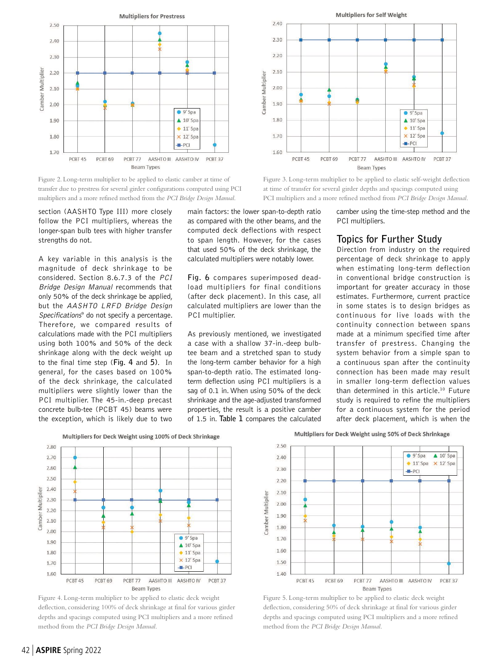

Figure 2. Long-term multiplier to be applied to elastic camber at time of transfer due to prestress for several girder configurations computed using PCI multipliers and a more refined method from the *PCI Bridge Design Manual*.

section (AASHTO Type III) more closely follow the PCI multipliers, whereas the longer-span bulb tees with higher transfer strengths do not.

A key variable in this analysis is the magnitude of deck shrinkage to be considered. Section 8.6.7.3 of the PCI Bridge Design Manual recommends that only 50% of the deck shrinkage be applied, but the AASHTO LRFD Bridge Design Specifications<sup>9</sup> do not specify a percentage. Therefore, we compared results of calculations made with the PCI multipliers using both 100% and 50% of the deck shrinkage along with the deck weight up to the final time step (**Fig. 4** and **5)**. In general, for the cases based on 100% of the deck shrinkage, the calculated multipliers were slightly lower than the PCI multiplier. The 45-in.-deep precast concrete bulb-tee (PCBT 45) beams were the exception, which is likely due to two

main factors: the lower span-to-depth ratio as compared with the other beams, and the computed deck deflections with respect to span length. However, for the cases that used 50% of the deck shrinkage, the calculated multipliers were notably lower.

**Fig. 6** compares superimposed deadload multipliers for final conditions (after deck placement). In this case, all calculated multipliers are lower than the PCI multiplier.

As previously mentioned, we investigated a case with a shallow 37-in.-deep bulbtee beam and a stretched span to study the long-term camber behavior for a high span-to-depth ratio. The estimated longterm deflection using PCI multipliers is a sag of 0.1 in. When using 50% of the deck shrinkage and the age-adjusted transformed properties, the result is a positive camber of 1.5 in. **Table 1** compares the calculated **Multipliers for Self Weight** 



Figure 3. Long-term multiplier to be applied to elastic self-weight deflection at time of transfer for several girder depths and spacings computed using PCI multipliers and a more refined method from *PCI Bridge Design Manual*.

camber using the time-step method and the PCI multipliers.

## **Topics for Further Study**

Direction from industry on the required percentage of deck shrinkage to apply when estimating long-term deflection in conventional bridge construction is important for greater accuracy in those estimates. Furthermore, current practice in some states is to design bridges as continuous for live loads with the continuity connection between spans made at a minimum specified time after transfer of prestress. Changing the system behavior from a simple span to a continuous span after the continuity connection has been made may result in smaller long-term deflection values than determined in this article.<sup>10</sup> Future study is required to refine the multipliers for a continuous system for the period after deck placement, which is when the

Multipliers for Deck Weight using 100% of Deck Shrinkage



Figure 4. Long-term multiplier to be applied to elastic deck weight deflection, considering 100% of deck shrinkage at final for various girder depths and spacings computed using PCI multipliers and a more refined method from the *PCI Bridge Design Manual*.

Multipliers for Deck Weight using 50% of Deck Shrinkage



Figure 5. Long-term multiplier to be applied to elastic deck weight deflection, considering 50% of deck shrinkage at final for various girder depths and spacings computed using PCI multipliers and a more refined method from the *PCI Bridge Design Manual*.